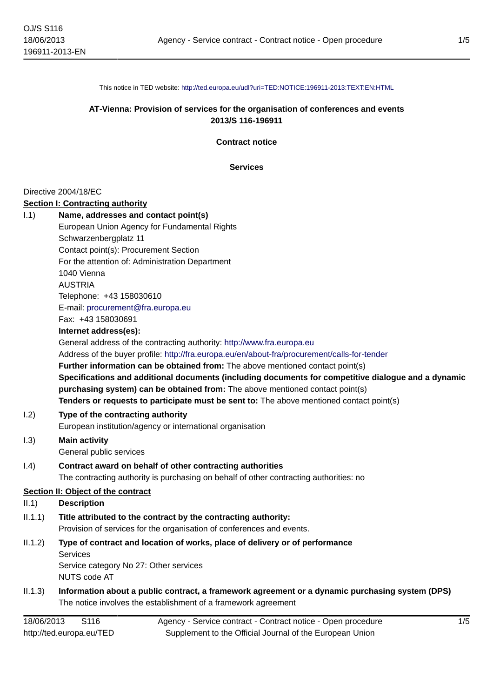This notice in TED website: <http://ted.europa.eu/udl?uri=TED:NOTICE:196911-2013:TEXT:EN:HTML>

# **AT-Vienna: Provision of services for the organisation of conferences and events 2013/S 116-196911**

**Contract notice**

**Services**

### Directive 2004/18/EC

#### **Section I: Contracting authority**

NUTS code AT

| 1.1)    | Name, addresses and contact point(s)                                                                |
|---------|-----------------------------------------------------------------------------------------------------|
|         | European Union Agency for Fundamental Rights                                                        |
|         | Schwarzenbergplatz 11                                                                               |
|         | Contact point(s): Procurement Section                                                               |
|         | For the attention of: Administration Department                                                     |
|         | 1040 Vienna                                                                                         |
|         | <b>AUSTRIA</b>                                                                                      |
|         | Telephone: +43 158030610                                                                            |
|         | E-mail: procurement@fra.europa.eu                                                                   |
|         | Fax: +43 158030691                                                                                  |
|         | Internet address(es):                                                                               |
|         | General address of the contracting authority: http://www.fra.europa.eu                              |
|         | Address of the buyer profile: http://fra.europa.eu/en/about-fra/procurement/calls-for-tender        |
|         | Further information can be obtained from: The above mentioned contact point(s)                      |
|         | Specifications and additional documents (including documents for competitive dialogue and a dynamic |
|         | purchasing system) can be obtained from: The above mentioned contact point(s)                       |
|         | Tenders or requests to participate must be sent to: The above mentioned contact point(s)            |
| 1.2)    | Type of the contracting authority                                                                   |
|         | European institution/agency or international organisation                                           |
| 1.3)    | <b>Main activity</b>                                                                                |
|         | General public services                                                                             |
| (0.4)   | Contract award on behalf of other contracting authorities                                           |
|         | The contracting authority is purchasing on behalf of other contracting authorities: no              |
|         | Section II: Object of the contract                                                                  |
| II.1)   | <b>Description</b>                                                                                  |
| II.1.1) | Title attributed to the contract by the contracting authority:                                      |
|         | Provision of services for the organisation of conferences and events.                               |
| II.1.2) | Type of contract and location of works, place of delivery or of performance                         |
|         | <b>Services</b>                                                                                     |
|         | Service category No 27: Other services                                                              |

II.1.3) **Information about a public contract, a framework agreement or a dynamic purchasing system (DPS)** The notice involves the establishment of a framework agreement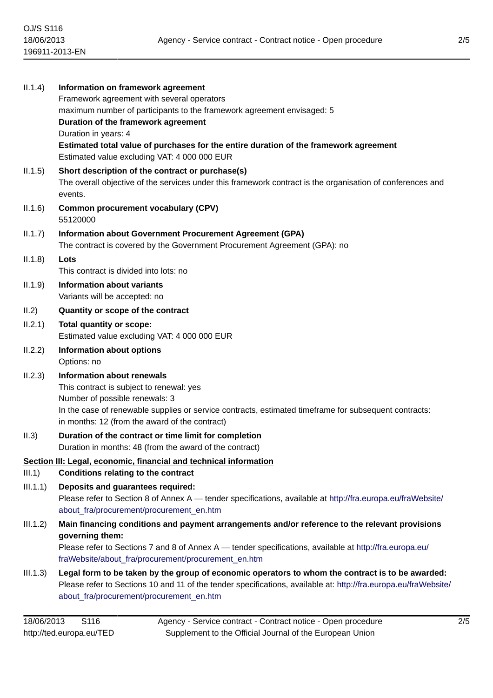| II.1.4)  | Information on framework agreement<br>Framework agreement with several operators<br>maximum number of participants to the framework agreement envisaged: 5<br>Duration of the framework agreement<br>Duration in years: 4<br>Estimated total value of purchases for the entire duration of the framework agreement |
|----------|--------------------------------------------------------------------------------------------------------------------------------------------------------------------------------------------------------------------------------------------------------------------------------------------------------------------|
|          | Estimated value excluding VAT: 4 000 000 EUR                                                                                                                                                                                                                                                                       |
| II.1.5)  | Short description of the contract or purchase(s)<br>The overall objective of the services under this framework contract is the organisation of conferences and<br>events.                                                                                                                                          |
| II.1.6)  | <b>Common procurement vocabulary (CPV)</b><br>55120000                                                                                                                                                                                                                                                             |
| II.1.7)  | Information about Government Procurement Agreement (GPA)<br>The contract is covered by the Government Procurement Agreement (GPA): no                                                                                                                                                                              |
| II.1.8)  | Lots                                                                                                                                                                                                                                                                                                               |
|          | This contract is divided into lots: no                                                                                                                                                                                                                                                                             |
| II.1.9)  | <b>Information about variants</b><br>Variants will be accepted: no                                                                                                                                                                                                                                                 |
| II.2)    | Quantity or scope of the contract                                                                                                                                                                                                                                                                                  |
| II.2.1)  | Total quantity or scope:<br>Estimated value excluding VAT: 4 000 000 EUR                                                                                                                                                                                                                                           |
| II.2.2)  | <b>Information about options</b>                                                                                                                                                                                                                                                                                   |
|          | Options: no                                                                                                                                                                                                                                                                                                        |
| II.2.3)  | <b>Information about renewals</b><br>This contract is subject to renewal: yes<br>Number of possible renewals: 3<br>In the case of renewable supplies or service contracts, estimated timeframe for subsequent contracts:<br>in months: 12 (from the award of the contract)                                         |
| II.3)    | Duration of the contract or time limit for completion                                                                                                                                                                                                                                                              |
|          | Duration in months: 48 (from the award of the contract)                                                                                                                                                                                                                                                            |
| III.1)   | Section III: Legal, economic, financial and technical information<br><b>Conditions relating to the contract</b>                                                                                                                                                                                                    |
| III.1.1) | Deposits and guarantees required:                                                                                                                                                                                                                                                                                  |
|          | Please refer to Section 8 of Annex A - tender specifications, available at http://fra.europa.eu/fraWebsite/<br>about fra/procurement/procurement en.htm                                                                                                                                                            |
| III.1.2) | Main financing conditions and payment arrangements and/or reference to the relevant provisions<br>governing them:                                                                                                                                                                                                  |
|          | Please refer to Sections 7 and 8 of Annex A — tender specifications, available at http://fra.europa.eu/<br>fraWebsite/about_fra/procurement/procurement_en.htm                                                                                                                                                     |
| III.1.3) | Legal form to be taken by the group of economic operators to whom the contract is to be awarded:<br>Please refer to Sections 10 and 11 of the tender specifications, available at: http://fra.europa.eu/fraWebsite/<br>about_fra/procurement/procurement_en.htm                                                    |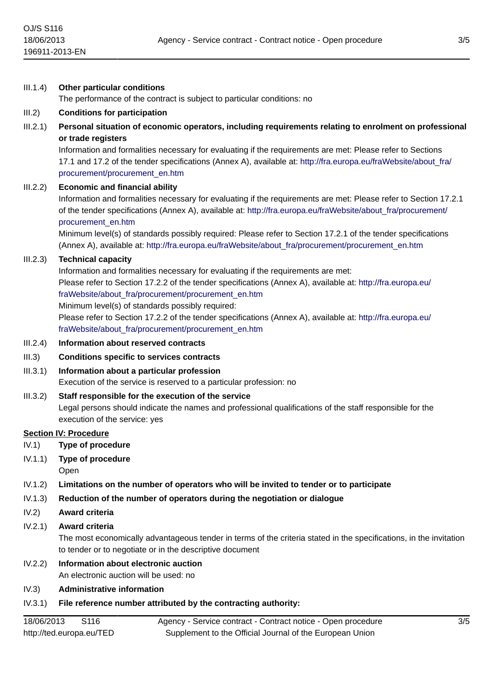### III.1.4) **Other particular conditions**

The performance of the contract is subject to particular conditions: no

#### III.2) **Conditions for participation**

III.2.1) **Personal situation of economic operators, including requirements relating to enrolment on professional or trade registers**

Information and formalities necessary for evaluating if the requirements are met: Please refer to Sections 17.1 and 17.2 of the tender specifications (Annex A), available at: [http://fra.europa.eu/fraWebsite/about\\_fra/](http://fra.europa.eu/fraWebsite/about_fra/procurement/procurement_en.htm) [procurement/procurement\\_en.htm](http://fra.europa.eu/fraWebsite/about_fra/procurement/procurement_en.htm)

### III.2.2) **Economic and financial ability**

Information and formalities necessary for evaluating if the requirements are met: Please refer to Section 17.2.1 of the tender specifications (Annex A), available at: [http://fra.europa.eu/fraWebsite/about\\_fra/procurement/](http://fra.europa.eu/fraWebsite/about_fra/procurement/procurement_en.htm) [procurement\\_en.htm](http://fra.europa.eu/fraWebsite/about_fra/procurement/procurement_en.htm)

Minimum level(s) of standards possibly required: Please refer to Section 17.2.1 of the tender specifications (Annex A), available at: [http://fra.europa.eu/fraWebsite/about\\_fra/procurement/procurement\\_en.htm](http://fra.europa.eu/fraWebsite/about_fra/procurement/procurement_en.htm)

### III.2.3) **Technical capacity**

Information and formalities necessary for evaluating if the requirements are met: Please refer to Section 17.2.2 of the tender specifications (Annex A), available at: [http://fra.europa.eu/](http://fra.europa.eu/fraWebsite/about_fra/procurement/procurement_en.htm) [fraWebsite/about\\_fra/procurement/procurement\\_en.htm](http://fra.europa.eu/fraWebsite/about_fra/procurement/procurement_en.htm)

Minimum level(s) of standards possibly required:

Please refer to Section 17.2.2 of the tender specifications (Annex A), available at: [http://fra.europa.eu/](http://fra.europa.eu/fraWebsite/about_fra/procurement/procurement_en.htm) [fraWebsite/about\\_fra/procurement/procurement\\_en.htm](http://fra.europa.eu/fraWebsite/about_fra/procurement/procurement_en.htm)

#### III.2.4) **Information about reserved contracts**

#### III.3) **Conditions specific to services contracts**

III.3.1) **Information about a particular profession**

Execution of the service is reserved to a particular profession: no

III.3.2) **Staff responsible for the execution of the service** Legal persons should indicate the names and professional qualifications of the staff responsible for the execution of the service: yes

#### **Section IV: Procedure**

- IV.1) **Type of procedure**
- IV.1.1) **Type of procedure**

Open

- IV.1.2) **Limitations on the number of operators who will be invited to tender or to participate**
- IV.1.3) **Reduction of the number of operators during the negotiation or dialogue**
- IV.2) **Award criteria**

#### IV.2.1) **Award criteria**

The most economically advantageous tender in terms of the criteria stated in the specifications, in the invitation to tender or to negotiate or in the descriptive document

#### IV.2.2) **Information about electronic auction** An electronic auction will be used: no

#### IV.3) **Administrative information**

# IV.3.1) **File reference number attributed by the contracting authority:**

18/06/2013 S116 http://ted.europa.eu/TED Agency - Service contract - Contract notice - Open procedure Supplement to the Official Journal of the European Union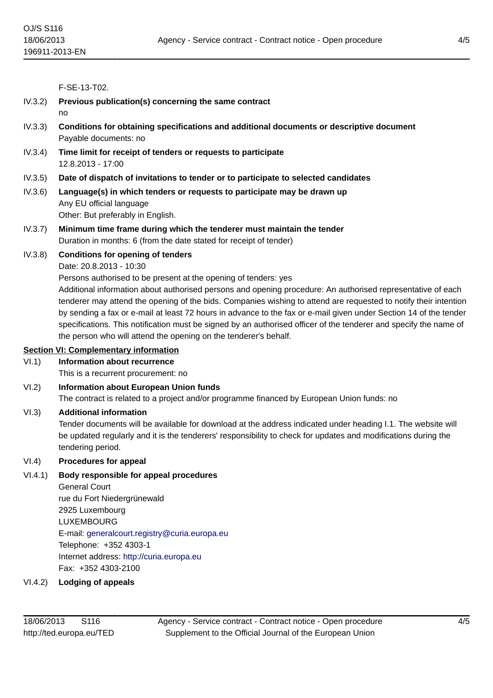F-SE-13-T02.

IV.3.2) **Previous publication(s) concerning the same contract** no IV.3.3) **Conditions for obtaining specifications and additional documents or descriptive document** Payable documents: no IV.3.4) **Time limit for receipt of tenders or requests to participate** 12.8.2013 - 17:00 IV.3.5) **Date of dispatch of invitations to tender or to participate to selected candidates** IV.3.6) **Language(s) in which tenders or requests to participate may be drawn up** Any EU official language Other: But preferably in English. IV.3.7) **Minimum time frame during which the tenderer must maintain the tender** Duration in months: 6 (from the date stated for receipt of tender) IV.3.8) **Conditions for opening of tenders** Date: 20.8.2013 - 10:30 Persons authorised to be present at the opening of tenders: yes Additional information about authorised persons and opening procedure: An authorised representative of each tenderer may attend the opening of the bids. Companies wishing to attend are requested to notify their intention by sending a fax or e-mail at least 72 hours in advance to the fax or e-mail given under Section 14 of the tender specifications. This notification must be signed by an authorised officer of the tenderer and specify the name of

the person who will attend the opening on the tenderer's behalf.

# **Section VI: Complementary information**

# VI.1) **Information about recurrence**

This is a recurrent procurement: no

# VI.2) **Information about European Union funds**

The contract is related to a project and/or programme financed by European Union funds: no

# VI.3) **Additional information**

Tender documents will be available for download at the address indicated under heading I.1. The website will be updated regularly and it is the tenderers' responsibility to check for updates and modifications during the tendering period.

# VI.4) **Procedures for appeal**

# VI.4.1) **Body responsible for appeal procedures**

General Court rue du Fort Niedergrünewald 2925 Luxembourg LUXEMBOURG E-mail: [generalcourt.registry@curia.europa.eu](mailto:generalcourt.registry@curia.europa.eu) Telephone: +352 4303-1 Internet address: <http://curia.europa.eu> Fax: +352 4303-2100

### VI.4.2) **Lodging of appeals**